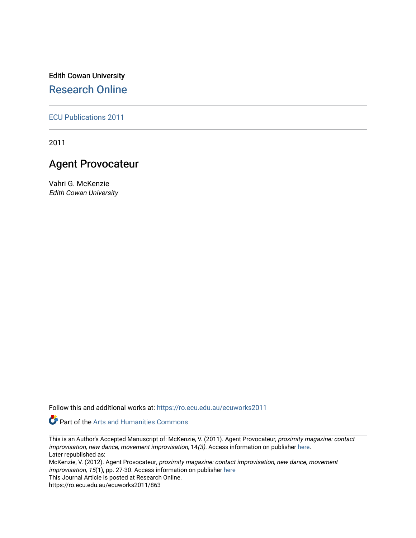Edith Cowan University [Research Online](https://ro.ecu.edu.au/) 

[ECU Publications 2011](https://ro.ecu.edu.au/ecuworks2011)

2011

### Agent Provocateur

Vahri G. McKenzie Edith Cowan University

Follow this and additional works at: [https://ro.ecu.edu.au/ecuworks2011](https://ro.ecu.edu.au/ecuworks2011?utm_source=ro.ecu.edu.au%2Fecuworks2011%2F863&utm_medium=PDF&utm_campaign=PDFCoverPages) 

Part of the [Arts and Humanities Commons](http://network.bepress.com/hgg/discipline/438?utm_source=ro.ecu.edu.au%2Fecuworks2011%2F863&utm_medium=PDF&utm_campaign=PDFCoverPages) 

This is an Author's Accepted Manuscript of: McKenzie, V. (2011). Agent Provocateur, proximity magazine: contact improvisation, new dance, movement improvisation, 14(3). Access information on publisher [here.](http://proximity.slightly.net/) Later republished as:

McKenzie, V. (2012). Agent Provocateur, proximity magazine: contact improvisation, new dance, movement improvisation, 15(1), pp. 27-30. Access information on publisher [here](http://proximity.slightly.net/) 

This Journal Article is posted at Research Online.

https://ro.ecu.edu.au/ecuworks2011/863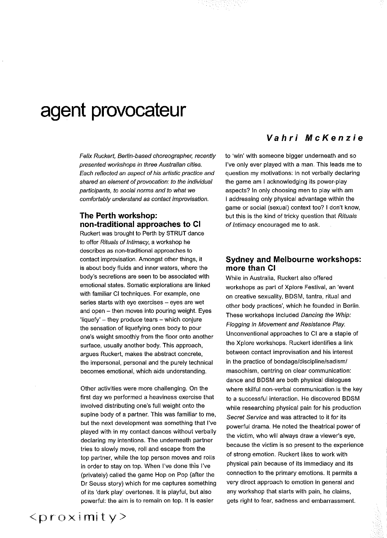## **agent provocateur**

Felix Ruckert, Berlin-based choreographer, recently presented workshops in three Australian cities. Each reflected an aspect of his artistic practice and shared an element of provocation: to the individual participants, to social norms and to what we comfortably understand as contact improvisation.

#### **The Perth workshop: non-traditional approaches to Cl**

Ruckert was brought to Perth by STRUT dance to offer Rituals of Intimacy, a workshop he describes as non-traditional approaches to contact improvisation. Amongst other things, it is about body fluids and inner waters, where the body's secretions are seen to be associated with emotional states. Somatic explorations are linked with familiar Cl techniques. For example, one **series starts with eye exercises - eyes are wet**  and open  $-$  then moves into pouring weight. Eyes 'liquefy' - they produce tears - which conjure the sensation of liquefying ones body to pour one's weight smoothly from the floor onto another surface, usually another body. This approach, argues Ruckert, makes the abstract concrete, the impersonal, personal and the purely technical becomes emotional, which aids understanding.

Other activities were more challenging. On the first day we performed a heaviness exercise that involved distributing one's full weight onto the supine body of a partner. This was familiar to me, but the next development was something that I've played with in my contact dances without verbally declaring my intentions. The underneath partner tries to slowly move, roll and escape from the top partner, while the top person moves and rolls in order to stay on top. When I've done thls I've (privately) called the game Hop on Pop (after the Dr Seuss story) which for me captures something of its 'dark play' overtones. It is playful, but also powerful: the aim is to remain on top. It is easier

#### **Vahri McKenzie**

to 'win' with someone bigger underneath and so I've only ever played with a man. This leads me to question my motivations: in not verbally declaring the game am I acknowledging its power-play aspects? In only choosing men to play with am I addressing only physical advantage within the game or social (sexual) context too? I don't know, but this is the kind of tricky question that Rituals of Intimacy encouraged me to ask.

#### **Sydney and Melbourne workshops: more than Cl**

While in Australia, Ruckert also offered workshops as part of Xplore Festival, an 'event on creative sexuality, BDSM, tantra, ritual and other body practices', which he founded in Berlin. These workshops included Dancing the Whip: Flogging in Movement and Resistance Play. Unconventional approaches to Cl are a staple of the Xplore workshops. Ruckert identifies a link **between contact improvisation and his interest**  in the practice of bondage/discipline/sadism/ **masochism, centring on clear communication:**  dance and BDSM are both physical dialogues where skilful non-verbal communication is the key to a successful interaction. He discovered BDSM while researching physical pain for his production Secret Service and was attracted to it for its powerful drama. He noted the theatrical power of the victim, who will always draw a viewer's eye, **because the victim is so present to the experience**  of strong emotion. Ruckert likes to work with physical pain because of its immediacy and its connection to the primary emotions. It permits a very direct approach to emotion in general and any workshop that starts with pain, he claims, gets right to fear, sadness and embarrassment.

 $roximity>$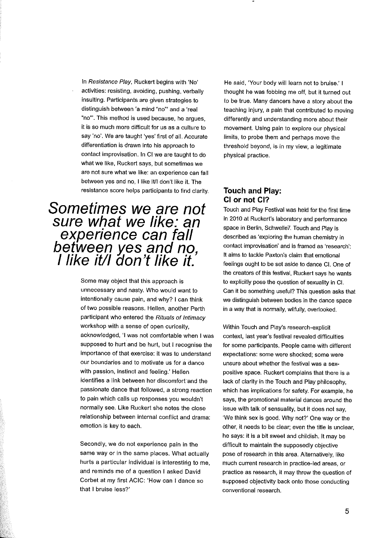In Resistance Play, Ruckert begins with 'No' activities: resisting, avoiding, pushing, verbally insulting. Participants are given strategies to distinguish between 'a mind "no"' and a 'real "no"'. This method is used because, he argues, it is so much more difficult for us as a culture to say 'no'. We are taught 'yes' first of all. Accurate differentiation is drawn into his approach to contact improvisation. In Cl we are taught to do what we like, Ruckert says, but sometimes we **are not sure what we like: an experience can fall**  between yes and no, I like it/I don't like it. The resistance score helps participants to find clarity.

## **Sometimes we are not sure what we like: an experience can fall**  between yes and no,<br>I like it/I don't like it.

Some may object that this approach is unnecessary and nasty. Who would want to intentionally cause pain, and why? I can think of two possible reasons. Hellen, another Perth participant who entered the Rituals of Intimacy workshop with a sense of open curiosity, acknowledged, 'I was not comfortable when I was supposed to hurt and be hurt, but I recognise the importance of that exercise: it was to understand **our boundaries and to motivate us for a dance**  with passion, instinct and feeling.' Hellen identifies a link between her discomfort and the passionate dance that followed, a strong reaction to pain which calls up responses you wouldn't normally see. Like Ruckert she notes the close relationship between internal conflict and drama: emotion is key to each.

Secondly, we do not experience pain in the same way or in the same places. What actually hurts a particular individual is interesting to me, and reminds me of a question I asked David Corbet at my first ACIC: 'How can I dance so that I bruise less?'

He said, 'Your body will learn not to bruise.' I thought he was fobbing me off, but it turned out to be true. Many dancers have a story about the teaching injury, a pain that contributed to moving differently and understanding more about their movement. Using pain to explore our physical limits, to probe them and perhaps move the threshold beyond, is in my view, a legitimate physical practice.

#### **Touch and Play: Cl or not Cl?**

Touch and Play Festival was held for the first time in 2010 at Ruckert's laboratory and performance space in Berlin, Schwelle7. Touch and Play is described as 'exploring the human chemistry in **contact improvisation' and is framed as 'research':**  It aims to tackle Paxton's claim that emotional feelings ought to be set aside to dance Cl. One of the creators of this festival, Ruckert says he wants to explicitly pose the question of sexuality in Cl. Can it be something useful? This question asks that we distinguish between bodies in the dance space in a way that is normally, wilfully, overlooked.

Within Touch and Play's research-explicit context, last year's festival revealed difficulties for some participants. People came with different **expectations: some were shocked; some were**  unsure about whether the festival was a sexpositive space. Ruckert complains that there is a lack of clarity in the Touch and Play philosophy, which has implications for safety. For example, he says, the promotional material dances around the issue with talk of sensuality, but it does not say, 'We think sex is good. Why not?' One way or the other, it needs to be clear; even the title is unclear, he says: it is a bit sweet and childish. It may be difficult to maintain the supposedly objective pose of research in this area. Alternatively, like **much current research in practice-led areas, or**  practice as research, it may throw the question of supposed objectivity back onto those conducting **conventional research.**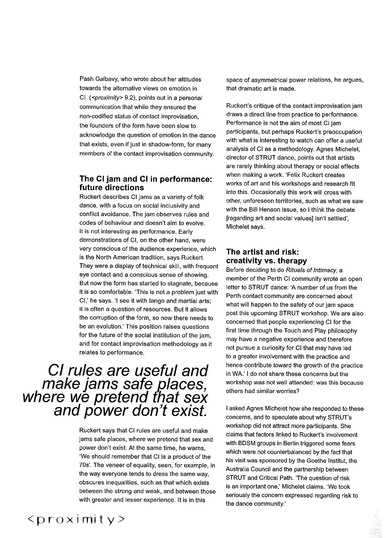Pash Galbavy, who wrote about her attitudes **towards the alternative views on emotion in**  Cl (<proximity> 9.2), points out in a personal communication that while they ensured the non-codified status of contact improvisation, the founders of the form have been slow to acknowledge the question of emotion in the dance that exists, even if just in shadow-form, for many **members of the contact improvisation community.** 

#### **The Cl jam and Cl in performance: future directions**

Ruckert describes CI jams as a variety of folk **dance, with a focus on social inclusivity and**  conflict avoidance. The jam observes rules and codes of behaviour and doesn't aim to evolve. It is not interesting as performance. Early demonstrations of Cl, on the other hand, were **very conscious of the audience experience, which**  is the North American tradition, says Ruckert. They were a display of technical skill, with frequent **eye contact and a conscious sense of showing.**  But now the form has started to stagnate, because it is so comfortable. 'This is not a problem just with Cl,' he says. 'I see it with tango and martial arts; it is often a question of resources. But it allows the corruption of the form, so now there needs to **be an evolution.' This position raises questions**  for the future of the social institution of the jam, and for contact improvisation methodology as it relates to performance.

# **Cl rules are useful and make jams safe places, where we pretend that sex and power don't exist.**

Ruckert says that CI rules are useful and make jams safe places, where we pretend that sex and power don't exist. At the same time, he warns, 'We should remember that Cl is a product of the 70s'. The veneer of equality, seen, for example, in the way everyone tends to dress the same way, obscures inequalities, such as that which exists between the strong and weak, and between those with greater and lesser experience. It is in this

space of asymmetrical power relations, he argues, that dramatic art is made.

Ruckert's critique of the contact improvisation jam draws a direct line from practice to performance. Performance is not the aim of most Cl jam participants, but perhaps Ruckert's preoccupation with what is interesting to watch can offer a useful analysis of Cl as a methodology. Agnes Michelet, director of STRUT dance, points out that artists are rarely thinking about therapy or social effects when making a work. 'Felix Ruckert creates works of art and his workshops and research fit into this. Occasionally this work will cross with **other, unforeseen territories, such as what we saw**  with the Bill Henson issue, so I think the debate [regarding art and social values] isn't settled', Michelet says.

#### **The artist and risk: creativity** vs. **therapy**

Before deciding to do Rituals of Intimacy, a member of the Perth Cl community wrote an open letter to STRUT dance: 'A number of us from the Perth contact community are concerned about what will happen to the safety of our jam space post this upcoming STRUT workshop. We are also concerned that people experiencing Cl for the first time through the Touch and Play philosophy may have a negative experience and therefore not pursue a curiosity for Cl that may have led to a greater involvement with the practice and hence contribute toward the growth of the practice in WA.' I do not share these concerns but the workshop was not well attended: was this because **others had similar worries?** 

I asked Agnes Michelet how she responded to these concerns, and to speculate about why STRUT's workshop did not attract more participants. She claims that factors linked to Ruckert's involvement with BDSM groups in Berlin triggered some fears which were not counterbalanced by the fact that his visit was sponsored by the Goethe lnstitut, the Australia Council and the partnership between STRUT and Critical Path. 'The question of risk is an important one,' Michelet claims. 'We took **seriously the concern expressed regarding risk to**  the dance community.'

### $<$ proximity>